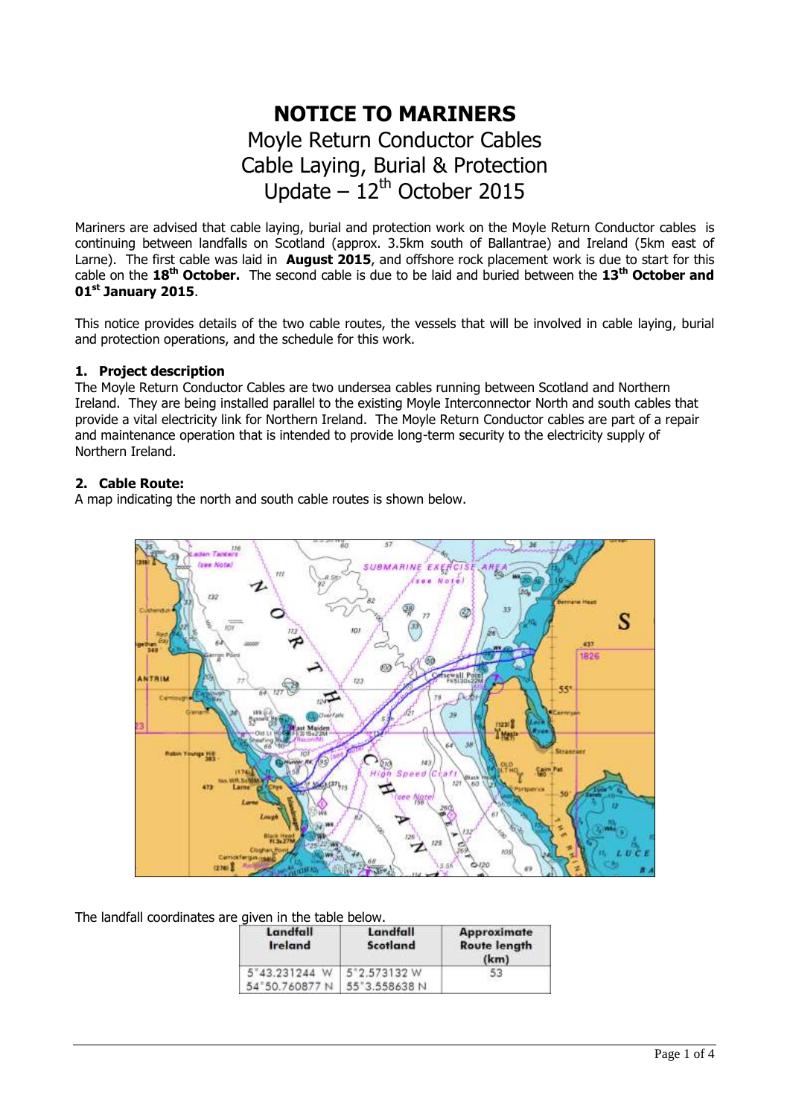# **NOTICE TO MARINERS** Moyle Return Conductor Cables Cable Laying, Burial & Protection Update  $-12^{th}$  October 2015

Mariners are advised that cable laying, burial and protection work on the Moyle Return Conductor cables is continuing between landfalls on Scotland (approx. 3.5km south of Ballantrae) and Ireland (5km east of Larne). The first cable was laid in **August 2015**, and offshore rock placement work is due to start for this cable on the **18th October.** The second cable is due to be laid and buried between the **13 th October and 01 st January 2015**.

This notice provides details of the two cable routes, the vessels that will be involved in cable laying, burial and protection operations, and the schedule for this work.

# **1. Project description**

The Moyle Return Conductor Cables are two undersea cables running between Scotland and Northern Ireland. They are being installed parallel to the existing Moyle Interconnector North and south cables that provide a vital electricity link for Northern Ireland. The Moyle Return Conductor cables are part of a repair and maintenance operation that is intended to provide long-term security to the electricity supply of Northern Ireland.

# **2. Cable Route:**

A map indicating the north and south cable routes is shown below.



The landfall coordinates are given in the table below.

| Landfall<br><b>Ireland</b> | Landfall<br>Scotland | <b>Approximate</b><br><b>Route length</b><br>(km) |
|----------------------------|----------------------|---------------------------------------------------|
| 5"43.231244 W 5"2.573132 W |                      | 53                                                |
| 54°50.760877N              | 55°3.558638 N        |                                                   |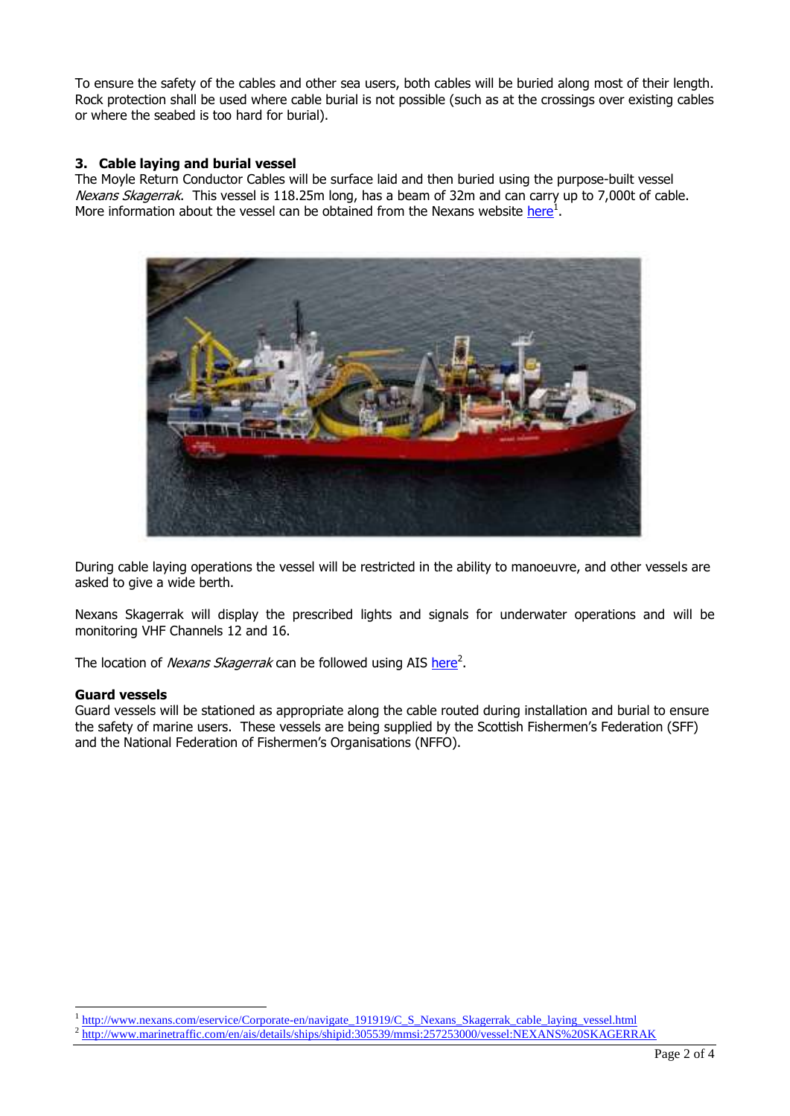To ensure the safety of the cables and other sea users, both cables will be buried along most of their length. Rock protection shall be used where cable burial is not possible (such as at the crossings over existing cables or where the seabed is too hard for burial).

## **3. Cable laying and burial vessel**

The Moyle Return Conductor Cables will be surface laid and then buried using the purpose-built vessel Nexans Skagerrak. This vessel is 118.25m long, has a beam of 32m and can carry up to 7,000t of cable. More information about the vessel can be obtained from the Nexans website [here](http://www.nexans.com/eservice/Corporate-en/navigate_191919/C_S_Nexans_Skagerrak_cable_laying_vessel.html)<sup>1</sup>.



During cable laying operations the vessel will be restricted in the ability to manoeuvre, and other vessels are asked to give a wide berth.

Nexans Skagerrak will display the prescribed lights and signals for underwater operations and will be monitoring VHF Channels 12 and 16.

The location of *Nexans Skagerrak* can be followed using AIS [here](http://www.marinetraffic.com/en/ais/details/ships/shipid:305539/mmsi:257253000/vessel:NEXANS%20SKAGERRAK)<sup>2</sup>.

#### **Guard vessels**

-

Guard vessels will be stationed as appropriate along the cable routed during installation and burial to ensure the safety of marine users. These vessels are being supplied by the Scottish Fishermen's Federation (SFF) and the National Federation of Fishermen's Organisations (NFFO).

<sup>1</sup> [http://www.nexans.com/eservice/Corporate-en/navigate\\_191919/C\\_S\\_Nexans\\_Skagerrak\\_cable\\_laying\\_vessel.html](http://www.nexans.com/eservice/Corporate-en/navigate_191919/C_S_Nexans_Skagerrak_cable_laying_vessel.html)

<sup>2</sup> <http://www.marinetraffic.com/en/ais/details/ships/shipid:305539/mmsi:257253000/vessel:NEXANS%20SKAGERRAK>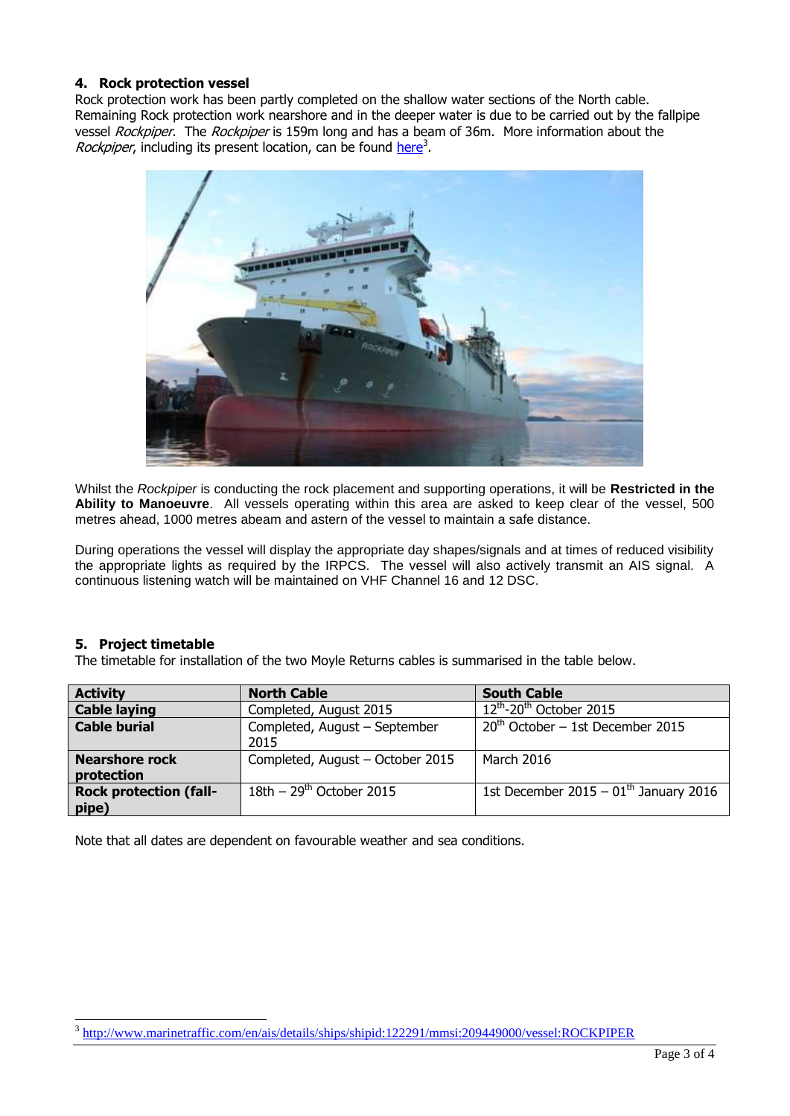## **4. Rock protection vessel**

Rock protection work has been partly completed on the shallow water sections of the North cable. Remaining Rock protection work nearshore and in the deeper water is due to be carried out by the fallpipe vessel Rockpiper. The Rockpiper is 159m long and has a beam of 36m. More information about the Rockpiper, including its present location, can be found [here](http://www.marinetraffic.com/en/ais/details/ships/shipid:225257/mmsi:244137000/vessel:SEAHORSE)<sup>3</sup>.



Whilst the *Rockpiper* is conducting the rock placement and supporting operations, it will be **Restricted in the Ability to Manoeuvre**. All vessels operating within this area are asked to keep clear of the vessel, 500 metres ahead, 1000 metres abeam and astern of the vessel to maintain a safe distance.

During operations the vessel will display the appropriate day shapes/signals and at times of reduced visibility the appropriate lights as required by the IRPCS. The vessel will also actively transmit an AIS signal. A continuous listening watch will be maintained on VHF Channel 16 and 12 DSC.

#### **5. Project timetable**

The timetable for installation of the two Moyle Returns cables is summarised in the table below.

| <b>Activity</b>               | <b>North Cable</b>               | <b>South Cable</b>                       |
|-------------------------------|----------------------------------|------------------------------------------|
| <b>Cable laying</b>           | Completed, August 2015           | $12^{th}$ -20 <sup>th</sup> October 2015 |
| <b>Cable burial</b>           | Completed, August - September    | $20th$ October – 1st December 2015       |
|                               | 2015                             |                                          |
| <b>Nearshore rock</b>         | Completed, August - October 2015 | <b>March 2016</b>                        |
| protection                    |                                  |                                          |
| <b>Rock protection (fall-</b> | $18th - 29th$ October 2015       | 1st December 2015 - $01th$ January 2016  |
| pipe)                         |                                  |                                          |

Note that all dates are dependent on favourable weather and sea conditions.

<sup>3</sup> <http://www.marinetraffic.com/en/ais/details/ships/shipid:122291/mmsi:209449000/vessel:ROCKPIPER>